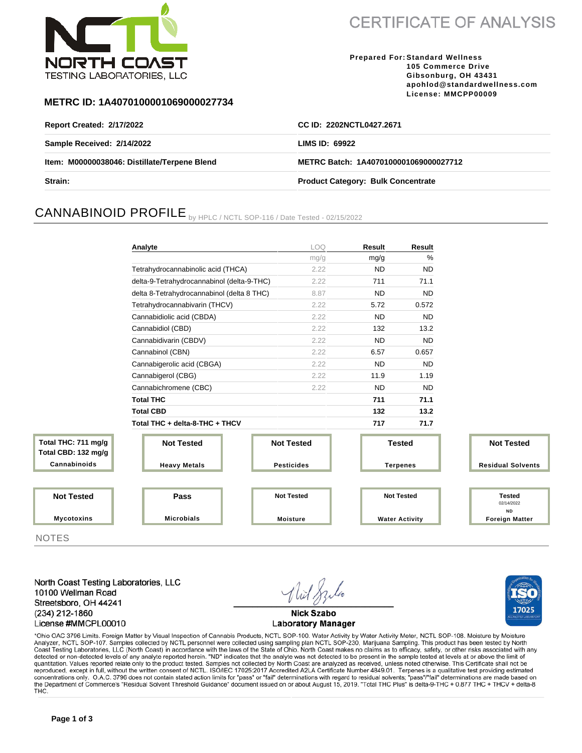

**CERTIFICATE OF ANALYSIS** 

**Prepared For: Standard Wellness 105 Commerce Drive Gibsonburg, OH 43431 apohlod@standardwellness.com License: MMCPP00009**

17025

### **METRC ID: 1A4070100001069000027734**

| <b>Report Created: 2/17/2022</b>             | CC ID: 2202NCTL0427.2671                  |  |
|----------------------------------------------|-------------------------------------------|--|
| Sample Received: 2/14/2022                   | LIMS ID: $69922$                          |  |
| Item: M00000038046: Distillate/Terpene Blend | METRC Batch: 1A4070100001069000027712     |  |
| Strain:                                      | <b>Product Category: Bulk Concentrate</b> |  |

# CANNABINOID PROFILE by HPLC / NCTL SOP-116 / Date Tested - 02/15/2022

|                                            | Analyte                                    | <b>LOQ</b>        | Result          | Result                |                                          |  |
|--------------------------------------------|--------------------------------------------|-------------------|-----------------|-----------------------|------------------------------------------|--|
|                                            |                                            | mg/g              | mg/g            | %                     |                                          |  |
|                                            | Tetrahydrocannabinolic acid (THCA)         | 2.22              | <b>ND</b>       | <b>ND</b>             |                                          |  |
|                                            | delta-9-Tetrahydrocannabinol (delta-9-THC) | 2.22              | 711             | 71.1                  |                                          |  |
|                                            | delta 8-Tetrahydrocannabinol (delta 8 THC) | 8.87              | <b>ND</b>       | <b>ND</b>             |                                          |  |
|                                            | Tetrahydrocannabivarin (THCV)              | 2.22              | 5.72            | 0.572                 |                                          |  |
|                                            | Cannabidiolic acid (CBDA)                  | 2.22              | <b>ND</b>       | <b>ND</b>             |                                          |  |
|                                            | Cannabidiol (CBD)                          | 2.22              | 132             | 13.2                  |                                          |  |
|                                            | Cannabidivarin (CBDV)                      | 2.22              | <b>ND</b>       | <b>ND</b>             |                                          |  |
|                                            | Cannabinol (CBN)                           | 2.22              | 6.57            | 0.657                 |                                          |  |
|                                            | Cannabigerolic acid (CBGA)                 | 2.22              | <b>ND</b>       | <b>ND</b>             |                                          |  |
|                                            | Cannabigerol (CBG)                         | 2.22              | 11.9            | 1.19                  |                                          |  |
|                                            | Cannabichromene (CBC)                      | 2.22              | <b>ND</b>       | <b>ND</b>             |                                          |  |
|                                            | <b>Total THC</b>                           |                   | 711             | 71.1                  |                                          |  |
|                                            | <b>Total CBD</b>                           |                   | 132             | 13.2                  |                                          |  |
|                                            | Total THC + delta-8-THC + THCV             |                   | 717             | 71.7                  |                                          |  |
| Total THC: 711 mg/g<br>Total CBD: 132 mg/g | <b>Not Tested</b>                          | <b>Not Tested</b> |                 | <b>Tested</b>         | <b>Not Tested</b>                        |  |
| Cannabinoids                               | <b>Heavy Metals</b>                        | <b>Pesticides</b> | <b>Terpenes</b> |                       | <b>Residual Solvents</b>                 |  |
|                                            |                                            |                   |                 |                       |                                          |  |
| <b>Not Tested</b>                          | Pass                                       | <b>Not Tested</b> |                 | <b>Not Tested</b>     | <b>Tested</b><br>02/14/2022<br><b>ND</b> |  |
| <b>Mycotoxins</b>                          | <b>Microbials</b>                          | <b>Moisture</b>   |                 | <b>Water Activity</b> | <b>Foreign Matter</b>                    |  |

**NOTES** 

North Coast Testing Laboratories, LLC 10100 Wellman Road Streetsboro, OH 44241 (234) 212-1860 License #MMCPL00010

**Nick Szabo Laboratory Manager** 

\*Ohio OAC 3796 Limits. Foreign Matter by Visual Inspection of Cannabis Products, NCTL SOP-100. Water Activity by Water Activity Meter, NCTL SOP-108. Moisture by Moisture Analyzer, NCTL SOP-107. Samples collected by NCTL personnel were collected using sampling plan NCTL SOP-230, Marijuana Sampling. This product has been tested by North Coast Testing Laboratories, LLC (North Coast) in accordance with the laws of the State of Ohio. North Coast makes no claims as to efficacy, safety, or other risks associated with any detected or non-detected levels of any quantitation. Values reported relate only to the product tested. Samples not collected by North Coast are analyzed as received, unless noted otherwise. This Certificate shall not be reproduced, except in full, without the written consent of NCTL. ISO/IEC 17025:2017 Accredited A2LA Certificate Number 4849.01. Terpenes is a qualitative test providing estimated concentrations only. O.A.C. 3796 does not contain stated action limits for "pass" or "fail" determinations with regard to residual solvents; "pass"/"fail" determinations are made based on the Department of Commerce's "Resi THC.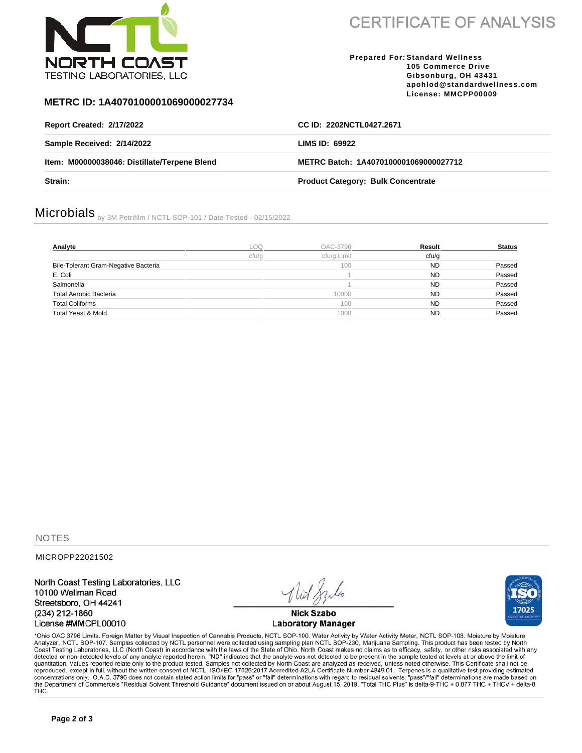

**CERTIFICATE OF ANALYSIS** 

#### **Prepared For: Standard Wellness 105 Commerce Drive Gibsonburg, OH 43431 apohlod@standardwellness.com License: MMCPP00009**

### **METRC ID: 1A4070100001069000027734**

| <b>Report Created: 2/17/2022</b>             | CC ID: 2202NCTL0427.2671                  |
|----------------------------------------------|-------------------------------------------|
| Sample Received: 2/14/2022                   | LIMS ID: 69922                            |
| Item: M00000038046: Distillate/Terpene Blend | METRC Batch: 1A4070100001069000027712     |
| <b>Strain:</b>                               | <b>Product Category: Bulk Concentrate</b> |

# Microbials by 3M Petrifilm / NCTL SOP-101 / Date Tested - 02/15/2022

| Analyte                              | .oo   | OAC-3796    | Result    | <b>Status</b> |
|--------------------------------------|-------|-------------|-----------|---------------|
|                                      | ctu/a | cfu/g Limit | cfu/q     |               |
| Bile-Tolerant Gram-Negative Bacteria |       | 100         | <b>ND</b> | Passed        |
| E. Coli                              |       |             | <b>ND</b> | Passed        |
| Salmonella                           |       |             | <b>ND</b> | Passed        |
| Total Aerobic Bacteria               |       | 10000       | <b>ND</b> | Passed        |
| <b>Total Coliforms</b>               |       | 100         | <b>ND</b> | Passed        |
| Total Yeast & Mold                   |       | 1000        | ND.       | Passed        |

**NOTES** 

MICROPP22021502

North Coast Testing Laboratories, LLC 10100 Wellman Road Streetsboro, OH 44241 (234) 212-1860 License #MMCPL00010

**Nick Szabo Laboratory Manager** 



\*Ohio OAC 3796 Limits. Foreign Matter by Visual Inspection of Cannabis Products, NCTL SOP-100. Water Activity by Water Activity Meter, NCTL SOP-108. Moisture by Moisture Analyzer, NCTL SOP-107. Samples collected by NCTL pe quantitation. Values reported relate only to the product tested. Samples not collected by North Coast are analyzed as received, unless noted otherwise. This Certificate shall not be reproduced, except in full, without the written consent of NCTL. ISO/IEC 17025:2017 Accredited A2LA Certificate Number 4849.01. Terpenes is a qualitative test providing estimated concentrations only. O.A.C. 3796 does not contain stated action limits for "pass" or "fail" determinations with regard to residual solvents; "pass"/"fail" determinations are made based on the Department of Commerce's "Resi THC.